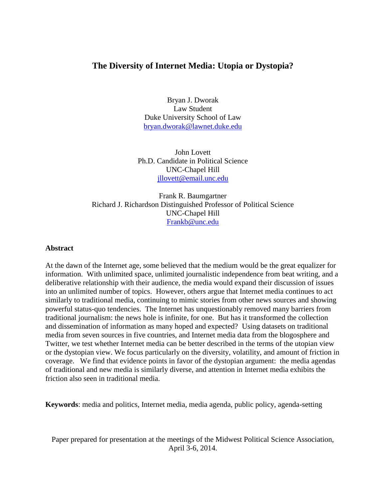## **The Diversity of Internet Media: Utopia or Dystopia?**

Bryan J. Dworak Law Student Duke University School of Law [bryan.dworak@lawnet.duke.edu](mailto:bryan.dworak@lawnet.duke.edu)

John Lovett Ph.D. Candidate in Political Science UNC-Chapel Hill [jllovett@email.unc.edu](mailto:jllovett@email.unc.edu)

Frank R. Baumgartner Richard J. Richardson Distinguished Professor of Political Science UNC-Chapel Hill [Frankb@unc.edu](mailto:Frankb@unc.edu)

## **Abstract**

At the dawn of the Internet age, some believed that the medium would be the great equalizer for information. With unlimited space, unlimited journalistic independence from beat writing, and a deliberative relationship with their audience, the media would expand their discussion of issues into an unlimited number of topics. However, others argue that Internet media continues to act similarly to traditional media, continuing to mimic stories from other news sources and showing powerful status-quo tendencies. The Internet has unquestionably removed many barriers from traditional journalism: the news hole is infinite, for one. But has it transformed the collection and dissemination of information as many hoped and expected? Using datasets on traditional media from seven sources in five countries, and Internet media data from the blogosphere and Twitter, we test whether Internet media can be better described in the terms of the utopian view or the dystopian view. We focus particularly on the diversity, volatility, and amount of friction in coverage. We find that evidence points in favor of the dystopian argument: the media agendas of traditional and new media is similarly diverse, and attention in Internet media exhibits the friction also seen in traditional media.

**Keywords**: media and politics, Internet media, media agenda, public policy, agenda-setting

Paper prepared for presentation at the meetings of the Midwest Political Science Association, April 3-6, 2014.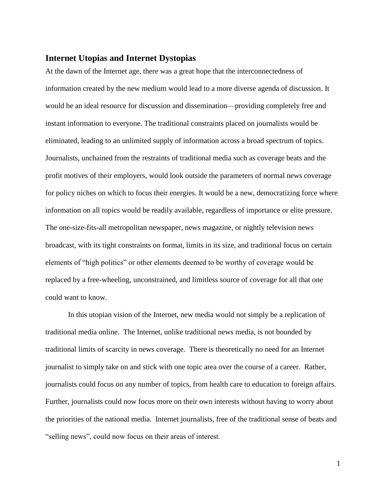### **Internet Utopias and Internet Dystopias**

At the dawn of the Internet age, there was a great hope that the interconnectedness of information created by the new medium would lead to a more diverse agenda of discussion. It would be an ideal resource for discussion and dissemination—providing completely free and instant information to everyone. The traditional constraints placed on journalists would be eliminated, leading to an unlimited supply of information across a broad spectrum of topics. Journalists, unchained from the restraints of traditional media such as coverage beats and the profit motives of their employers, would look outside the parameters of normal news coverage for policy niches on which to focus their energies. It would be a new, democratizing force where information on all topics would be readily available, regardless of importance or elite pressure. The one-size-fits-all metropolitan newspaper, news magazine, or nightly television news broadcast, with its tight constraints on format, limits in its size, and traditional focus on certain elements of "high politics" or other elements deemed to be worthy of coverage would be replaced by a free-wheeling, unconstrained, and limitless source of coverage for all that one could want to know.

In this utopian vision of the Internet, new media would not simply be a replication of traditional media online. The Internet, unlike traditional news media, is not bounded by traditional limits of scarcity in news coverage. There is theoretically no need for an Internet journalist to simply take on and stick with one topic area over the course of a career. Rather, journalists could focus on any number of topics, from health care to education to foreign affairs. Further, journalists could now focus more on their own interests without having to worry about the priorities of the national media. Internet journalists, free of the traditional sense of beats and "selling news", could now focus on their areas of interest.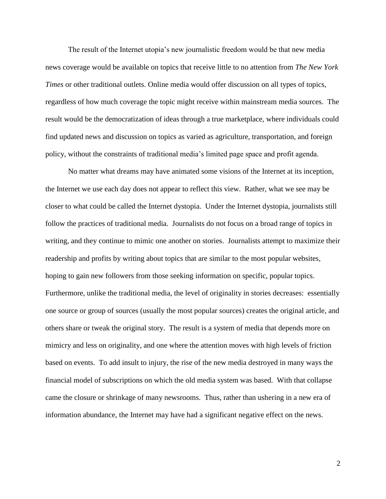The result of the Internet utopia's new journalistic freedom would be that new media news coverage would be available on topics that receive little to no attention from *The New York Times* or other traditional outlets*.* Online media would offer discussion on all types of topics, regardless of how much coverage the topic might receive within mainstream media sources. The result would be the democratization of ideas through a true marketplace, where individuals could find updated news and discussion on topics as varied as agriculture, transportation, and foreign policy, without the constraints of traditional media's limited page space and profit agenda.

No matter what dreams may have animated some visions of the Internet at its inception, the Internet we use each day does not appear to reflect this view. Rather, what we see may be closer to what could be called the Internet dystopia. Under the Internet dystopia, journalists still follow the practices of traditional media. Journalists do not focus on a broad range of topics in writing, and they continue to mimic one another on stories. Journalists attempt to maximize their readership and profits by writing about topics that are similar to the most popular websites, hoping to gain new followers from those seeking information on specific, popular topics. Furthermore, unlike the traditional media, the level of originality in stories decreases: essentially one source or group of sources (usually the most popular sources) creates the original article, and others share or tweak the original story. The result is a system of media that depends more on mimicry and less on originality, and one where the attention moves with high levels of friction based on events. To add insult to injury, the rise of the new media destroyed in many ways the financial model of subscriptions on which the old media system was based. With that collapse came the closure or shrinkage of many newsrooms. Thus, rather than ushering in a new era of information abundance, the Internet may have had a significant negative effect on the news.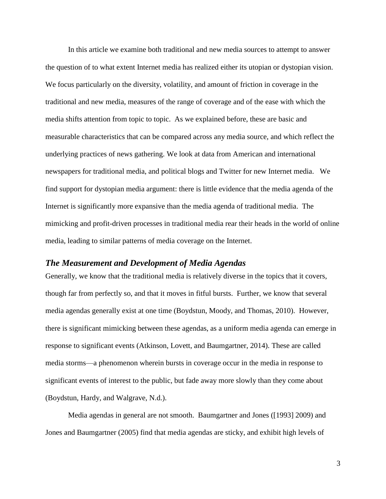In this article we examine both traditional and new media sources to attempt to answer the question of to what extent Internet media has realized either its utopian or dystopian vision. We focus particularly on the diversity, volatility, and amount of friction in coverage in the traditional and new media, measures of the range of coverage and of the ease with which the media shifts attention from topic to topic. As we explained before, these are basic and measurable characteristics that can be compared across any media source, and which reflect the underlying practices of news gathering. We look at data from American and international newspapers for traditional media, and political blogs and Twitter for new Internet media. We find support for dystopian media argument: there is little evidence that the media agenda of the Internet is significantly more expansive than the media agenda of traditional media. The mimicking and profit-driven processes in traditional media rear their heads in the world of online media, leading to similar patterns of media coverage on the Internet.

### *The Measurement and Development of Media Agendas*

Generally, we know that the traditional media is relatively diverse in the topics that it covers, though far from perfectly so, and that it moves in fitful bursts. Further, we know that several media agendas generally exist at one time (Boydstun, Moody, and Thomas, 2010). However, there is significant mimicking between these agendas, as a uniform media agenda can emerge in response to significant events (Atkinson, Lovett, and Baumgartner, 2014). These are called media storms—a phenomenon wherein bursts in coverage occur in the media in response to significant events of interest to the public, but fade away more slowly than they come about (Boydstun, Hardy, and Walgrave, N.d.).

Media agendas in general are not smooth. Baumgartner and Jones ([1993] 2009) and Jones and Baumgartner (2005) find that media agendas are sticky, and exhibit high levels of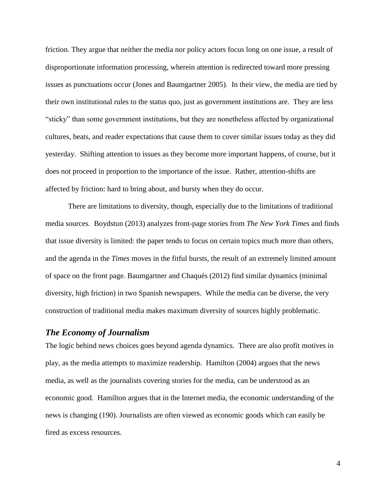friction. They argue that neither the media nor policy actors focus long on one issue, a result of disproportionate information processing, wherein attention is redirected toward more pressing issues as punctuations occur (Jones and Baumgartner 2005). In their view, the media are tied by their own institutional rules to the status quo, just as government institutions are. They are less "sticky" than some government institutions, but they are nonetheless affected by organizational cultures, beats, and reader expectations that cause them to cover similar issues today as they did yesterday. Shifting attention to issues as they become more important happens, of course, but it does not proceed in proportion to the importance of the issue. Rather, attention-shifts are affected by friction: hard to bring about, and bursty when they do occur.

There are limitations to diversity, though, especially due to the limitations of traditional media sources. Boydstun (2013) analyzes front-page stories from *The New York Times* and finds that issue diversity is limited: the paper tends to focus on certain topics much more than others, and the agenda in the *Times* moves in the fitful bursts, the result of an extremely limited amount of space on the front page. Baumgartner and Chaqués (2012) find similar dynamics (minimal diversity, high friction) in two Spanish newspapers. While the media can be diverse, the very construction of traditional media makes maximum diversity of sources highly problematic.

## *The Economy of Journalism*

The logic behind news choices goes beyond agenda dynamics. There are also profit motives in play, as the media attempts to maximize readership. Hamilton (2004) argues that the news media, as well as the journalists covering stories for the media, can be understood as an economic good. Hamilton argues that in the Internet media, the economic understanding of the news is changing (190). Journalists are often viewed as economic goods which can easily be fired as excess resources.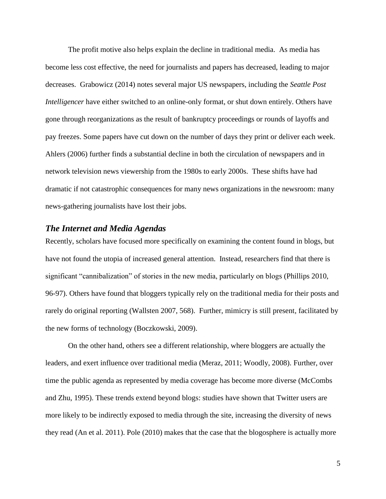The profit motive also helps explain the decline in traditional media. As media has become less cost effective, the need for journalists and papers has decreased, leading to major decreases. Grabowicz (2014) notes several major US newspapers, including the *Seattle Post Intelligencer* have either switched to an online-only format, or shut down entirely. Others have gone through reorganizations as the result of bankruptcy proceedings or rounds of layoffs and pay freezes. Some papers have cut down on the number of days they print or deliver each week. Ahlers (2006) further finds a substantial decline in both the circulation of newspapers and in network television news viewership from the 1980s to early 2000s. These shifts have had dramatic if not catastrophic consequences for many news organizations in the newsroom: many news-gathering journalists have lost their jobs.

## *The Internet and Media Agendas*

Recently, scholars have focused more specifically on examining the content found in blogs, but have not found the utopia of increased general attention. Instead, researchers find that there is significant "cannibalization" of stories in the new media, particularly on blogs (Phillips 2010, 96-97). Others have found that bloggers typically rely on the traditional media for their posts and rarely do original reporting (Wallsten 2007, 568). Further, mimicry is still present, facilitated by the new forms of technology (Boczkowski, 2009).

On the other hand, others see a different relationship, where bloggers are actually the leaders, and exert influence over traditional media (Meraz, 2011; Woodly, 2008). Further, over time the public agenda as represented by media coverage has become more diverse (McCombs and Zhu, 1995). These trends extend beyond blogs: studies have shown that Twitter users are more likely to be indirectly exposed to media through the site, increasing the diversity of news they read (An et al. 2011). Pole (2010) makes that the case that the blogosphere is actually more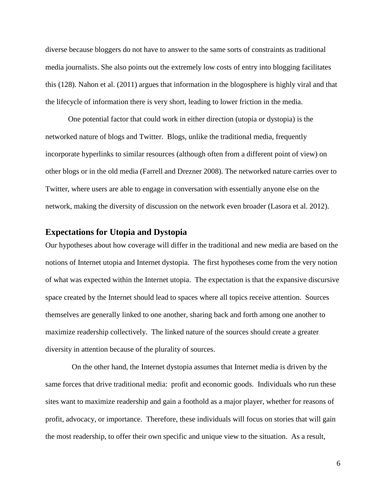diverse because bloggers do not have to answer to the same sorts of constraints as traditional media journalists. She also points out the extremely low costs of entry into blogging facilitates this (128). Nahon et al. (2011) argues that information in the blogosphere is highly viral and that the lifecycle of information there is very short, leading to lower friction in the media.

One potential factor that could work in either direction (utopia or dystopia) is the networked nature of blogs and Twitter. Blogs, unlike the traditional media, frequently incorporate hyperlinks to similar resources (although often from a different point of view) on other blogs or in the old media (Farrell and Drezner 2008). The networked nature carries over to Twitter, where users are able to engage in conversation with essentially anyone else on the network, making the diversity of discussion on the network even broader (Lasora et al. 2012).

## **Expectations for Utopia and Dystopia**

Our hypotheses about how coverage will differ in the traditional and new media are based on the notions of Internet utopia and Internet dystopia. The first hypotheses come from the very notion of what was expected within the Internet utopia. The expectation is that the expansive discursive space created by the Internet should lead to spaces where all topics receive attention. Sources themselves are generally linked to one another, sharing back and forth among one another to maximize readership collectively. The linked nature of the sources should create a greater diversity in attention because of the plurality of sources.

 On the other hand, the Internet dystopia assumes that Internet media is driven by the same forces that drive traditional media: profit and economic goods. Individuals who run these sites want to maximize readership and gain a foothold as a major player, whether for reasons of profit, advocacy, or importance. Therefore, these individuals will focus on stories that will gain the most readership, to offer their own specific and unique view to the situation. As a result,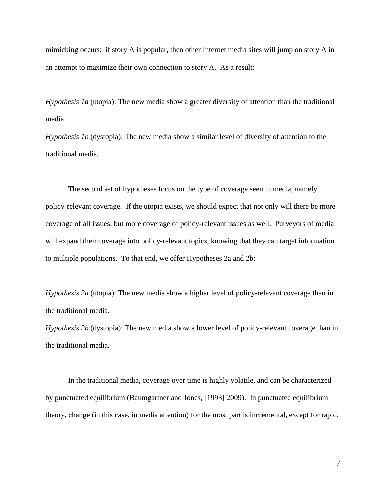mimicking occurs: if story A is popular, then other Internet media sites will jump on story A in an attempt to maximize their own connection to story A. As a result:

*Hypothesis 1a* (utopia): The new media show a greater diversity of attention than the traditional media.

*Hypothesis 1b* (dystopia): The new media show a similar level of diversity of attention to the traditional media.

The second set of hypotheses focus on the type of coverage seen in media, namely policy-relevant coverage. If the utopia exists, we should expect that not only will there be more coverage of all issues, but more coverage of policy-relevant issues as well. Purveyors of media will expand their coverage into policy-relevant topics, knowing that they can target information to multiple populations. To that end, we offer Hypotheses 2a and 2b:

*Hypothesis 2a* (utopia): The new media show a higher level of policy-relevant coverage than in the traditional media.

*Hypothesis 2b* (dystopia): The new media show a lower level of policy-relevant coverage than in the traditional media.

In the traditional media, coverage over time is highly volatile, and can be characterized by punctuated equilibrium (Baumgartner and Jones, [1993] 2009). In punctuated equilibrium theory, change (in this case, in media attention) for the most part is incremental, except for rapid,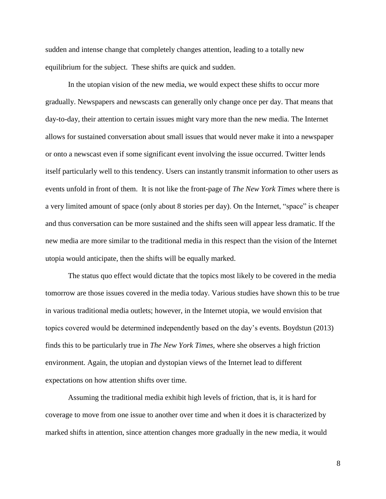sudden and intense change that completely changes attention, leading to a totally new equilibrium for the subject. These shifts are quick and sudden.

In the utopian vision of the new media, we would expect these shifts to occur more gradually. Newspapers and newscasts can generally only change once per day. That means that day-to-day, their attention to certain issues might vary more than the new media. The Internet allows for sustained conversation about small issues that would never make it into a newspaper or onto a newscast even if some significant event involving the issue occurred. Twitter lends itself particularly well to this tendency. Users can instantly transmit information to other users as events unfold in front of them. It is not like the front-page of *The New York Times* where there is a very limited amount of space (only about 8 stories per day). On the Internet, "space" is cheaper and thus conversation can be more sustained and the shifts seen will appear less dramatic. If the new media are more similar to the traditional media in this respect than the vision of the Internet utopia would anticipate, then the shifts will be equally marked.

The status quo effect would dictate that the topics most likely to be covered in the media tomorrow are those issues covered in the media today. Various studies have shown this to be true in various traditional media outlets; however, in the Internet utopia, we would envision that topics covered would be determined independently based on the day's events. Boydstun (2013) finds this to be particularly true in *The New York Times,* where she observes a high friction environment. Again, the utopian and dystopian views of the Internet lead to different expectations on how attention shifts over time.

Assuming the traditional media exhibit high levels of friction, that is, it is hard for coverage to move from one issue to another over time and when it does it is characterized by marked shifts in attention, since attention changes more gradually in the new media, it would

8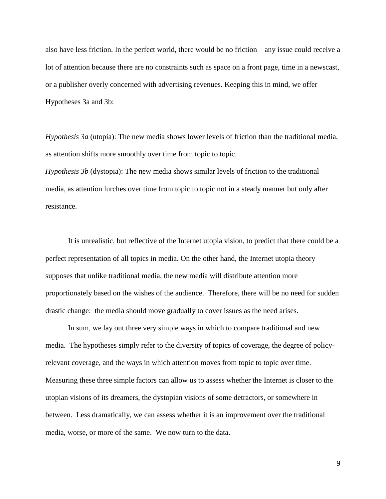also have less friction. In the perfect world, there would be no friction—any issue could receive a lot of attention because there are no constraints such as space on a front page, time in a newscast, or a publisher overly concerned with advertising revenues. Keeping this in mind, we offer Hypotheses 3a and 3b:

*Hypothesis 3a* (utopia): The new media shows lower levels of friction than the traditional media, as attention shifts more smoothly over time from topic to topic.

*Hypothesis 3b* (dystopia): The new media shows similar levels of friction to the traditional media, as attention lurches over time from topic to topic not in a steady manner but only after resistance.

It is unrealistic, but reflective of the Internet utopia vision, to predict that there could be a perfect representation of all topics in media. On the other hand, the Internet utopia theory supposes that unlike traditional media, the new media will distribute attention more proportionately based on the wishes of the audience. Therefore, there will be no need for sudden drastic change: the media should move gradually to cover issues as the need arises.

In sum, we lay out three very simple ways in which to compare traditional and new media. The hypotheses simply refer to the diversity of topics of coverage, the degree of policyrelevant coverage, and the ways in which attention moves from topic to topic over time. Measuring these three simple factors can allow us to assess whether the Internet is closer to the utopian visions of its dreamers, the dystopian visions of some detractors, or somewhere in between. Less dramatically, we can assess whether it is an improvement over the traditional media, worse, or more of the same. We now turn to the data.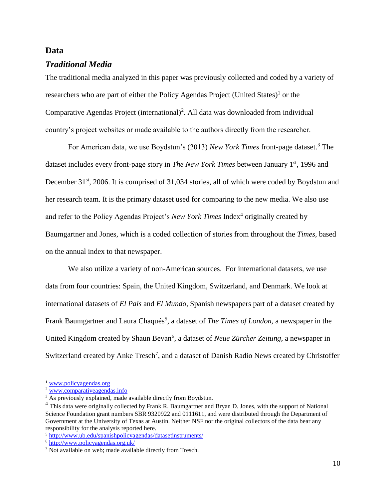## **Data**

## *Traditional Media*

The traditional media analyzed in this paper was previously collected and coded by a variety of researchers who are part of either the Policy Agendas Project (United States)<sup>1</sup> or the Comparative Agendas Project (international)<sup>2</sup>. All data was downloaded from individual country's project websites or made available to the authors directly from the researcher.

For American data, we use Boydstun's (2013) *New York Times* front-page dataset.<sup>3</sup> The dataset includes every front-page story in *The New York Times* between January 1<sup>st</sup>, 1996 and December 31<sup>st</sup>, 2006. It is comprised of 31,034 stories, all of which were coded by Boydstun and her research team. It is the primary dataset used for comparing to the new media. We also use and refer to the Policy Agendas Project's *New York Times* Index<sup>4</sup> originally created by Baumgartner and Jones, which is a coded collection of stories from throughout the *Times*, based on the annual index to that newspaper.

We also utilize a variety of non-American sources. For international datasets, we use data from four countries: Spain, the United Kingdom, Switzerland, and Denmark. We look at international datasets of *El Pais* and *El Mundo,* Spanish newspapers part of a dataset created by Frank Baumgartner and Laura Chaqués<sup>5</sup>, a dataset of *The Times of London*, a newspaper in the United Kingdom created by Shaun Bevan<sup>6</sup>, a dataset of *Neue Zürcher Zeitung*, a newspaper in Switzerland created by Anke  $Tresch^7$ , and a dataset of Danish Radio News created by Christoffer

<sup>&</sup>lt;sup>1</sup> [www.policyagendas.org](http://www.policyagendas.org/)

<sup>2</sup> [www.comparativeagendas.info](http://www.comparativeagendas.info/)

 $3 \overline{\text{As}$  previously explained, made available directly from Boydstun.

<sup>&</sup>lt;sup>4</sup> This data were originally collected by Frank R. Baumgartner and Bryan D. Jones, with the support of National Science Foundation grant numbers SBR 9320922 and 0111611, and were distributed through the Department of Government at the University of Texas at Austin. Neither NSF nor the original collectors of the data bear any responsibility for the analysis reported here.

<sup>5</sup> <http://www.ub.edu/spanishpolicyagendas/datasetinstruments/>

<sup>6</sup> <http://www.policyagendas.org.uk/>

<sup>&</sup>lt;sup>7</sup> Not available on web; made available directly from Tresch.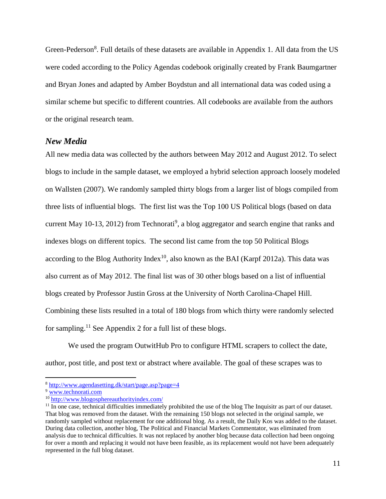Green-Pederson<sup>8</sup>. Full details of these datasets are available in Appendix 1. All data from the US were coded according to the Policy Agendas codebook originally created by Frank Baumgartner and Bryan Jones and adapted by Amber Boydstun and all international data was coded using a similar scheme but specific to different countries. All codebooks are available from the authors or the original research team.

## *New Media*

All new media data was collected by the authors between May 2012 and August 2012. To select blogs to include in the sample dataset, we employed a hybrid selection approach loosely modeled on Wallsten (2007). We randomly sampled thirty blogs from a larger list of blogs compiled from three lists of influential blogs. The first list was the Top 100 US Political blogs (based on data current May 10-13, 2012) from Technorati<sup>9</sup>, a blog aggregator and search engine that ranks and indexes blogs on different topics. The second list came from the top 50 Political Blogs according to the Blog Authority Index<sup>10</sup>, also known as the BAI (Karpf 2012a). This data was also current as of May 2012. The final list was of 30 other blogs based on a list of influential blogs created by Professor Justin Gross at the University of North Carolina-Chapel Hill. Combining these lists resulted in a total of 180 blogs from which thirty were randomly selected for sampling.<sup>11</sup> See Appendix 2 for a full list of these blogs.

We used the program OutwitHub Pro to configure HTML scrapers to collect the date, author, post title, and post text or abstract where available. The goal of these scrapes was to

<sup>8</sup> <http://www.agendasetting.dk/start/page.asp?page=4>

<sup>9</sup> [www.technorati.com](http://www.technorati.com/)

<sup>10</sup> <http://www.blogosphereauthorityindex.com/>

<sup>&</sup>lt;sup>11</sup> In one case, technical difficulties immediately prohibited the use of the blog The Inquisitr as part of our dataset. That blog was removed from the dataset. With the remaining 150 blogs not selected in the original sample, we randomly sampled without replacement for one additional blog. As a result, the Daily Kos was added to the dataset. During data collection, another blog, The Political and Financial Markets Commentator, was eliminated from analysis due to technical difficulties. It was not replaced by another blog because data collection had been ongoing for over a month and replacing it would not have been feasible, as its replacement would not have been adequately represented in the full blog dataset.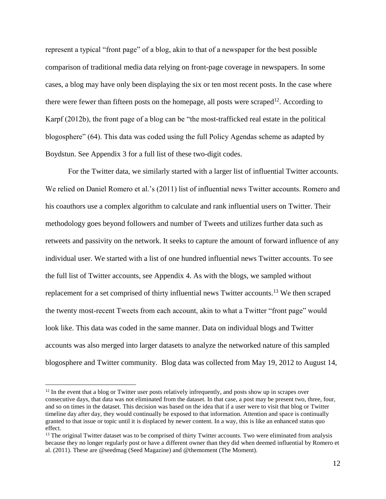represent a typical "front page" of a blog, akin to that of a newspaper for the best possible comparison of traditional media data relying on front-page coverage in newspapers. In some cases, a blog may have only been displaying the six or ten most recent posts. In the case where there were fewer than fifteen posts on the homepage, all posts were scraped<sup>12</sup>. According to Karpf (2012b), the front page of a blog can be "the most-trafficked real estate in the political blogosphere" (64). This data was coded using the full Policy Agendas scheme as adapted by Boydstun. See Appendix 3 for a full list of these two-digit codes.

For the Twitter data, we similarly started with a larger list of influential Twitter accounts. We relied on Daniel Romero et al.'s (2011) list of influential news Twitter accounts. Romero and his coauthors use a complex algorithm to calculate and rank influential users on Twitter. Their methodology goes beyond followers and number of Tweets and utilizes further data such as retweets and passivity on the network. It seeks to capture the amount of forward influence of any individual user. We started with a list of one hundred influential news Twitter accounts. To see the full list of Twitter accounts, see Appendix 4. As with the blogs, we sampled without replacement for a set comprised of thirty influential news Twitter accounts.<sup>13</sup> We then scraped the twenty most-recent Tweets from each account, akin to what a Twitter "front page" would look like. This data was coded in the same manner. Data on individual blogs and Twitter accounts was also merged into larger datasets to analyze the networked nature of this sampled blogosphere and Twitter community. Blog data was collected from May 19, 2012 to August 14,

 $12$  In the event that a blog or Twitter user posts relatively infrequently, and posts show up in scrapes over consecutive days, that data was not eliminated from the dataset. In that case, a post may be present two, three, four, and so on times in the dataset. This decision was based on the idea that if a user were to visit that blog or Twitter timeline day after day, they would continually be exposed to that information. Attention and space is continually granted to that issue or topic until it is displaced by newer content. In a way, this is like an enhanced status quo effect.

<sup>&</sup>lt;sup>13</sup> The original Twitter dataset was to be comprised of thirty Twitter accounts. Two were eliminated from analysis because they no longer regularly post or have a different owner than they did when deemed influential by Romero et al. (2011). These are @seedmag (Seed Magazine) and @themoment (The Moment).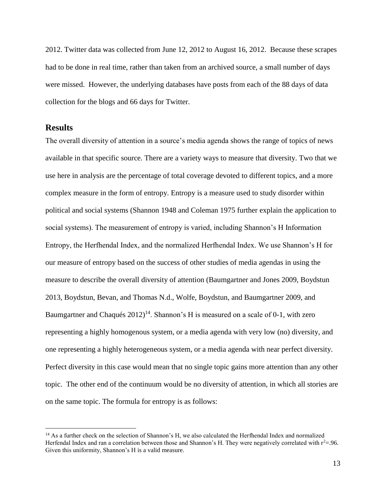2012. Twitter data was collected from June 12, 2012 to August 16, 2012. Because these scrapes had to be done in real time, rather than taken from an archived source, a small number of days were missed. However, the underlying databases have posts from each of the 88 days of data collection for the blogs and 66 days for Twitter.

## **Results**

 $\overline{a}$ 

The overall diversity of attention in a source's media agenda shows the range of topics of news available in that specific source. There are a variety ways to measure that diversity. Two that we use here in analysis are the percentage of total coverage devoted to different topics, and a more complex measure in the form of entropy. Entropy is a measure used to study disorder within political and social systems (Shannon 1948 and Coleman 1975 further explain the application to social systems). The measurement of entropy is varied, including Shannon's H Information Entropy, the Herfhendal Index, and the normalized Herfhendal Index. We use Shannon's H for our measure of entropy based on the success of other studies of media agendas in using the measure to describe the overall diversity of attention (Baumgartner and Jones 2009, Boydstun 2013, Boydstun, Bevan, and Thomas N.d., Wolfe, Boydstun, and Baumgartner 2009, and Baumgartner and Chaqués  $2012$ <sup>14</sup>. Shannon's H is measured on a scale of 0-1, with zero representing a highly homogenous system, or a media agenda with very low (no) diversity, and one representing a highly heterogeneous system, or a media agenda with near perfect diversity. Perfect diversity in this case would mean that no single topic gains more attention than any other topic. The other end of the continuum would be no diversity of attention, in which all stories are on the same topic. The formula for entropy is as follows:

<sup>&</sup>lt;sup>14</sup> As a further check on the selection of Shannon's H, we also calculated the Herfhendal Index and normalized Herfendal Index and ran a correlation between those and Shannon's H. They were negatively correlated with  $r^2 = 96$ . Given this uniformity, Shannon's H is a valid measure.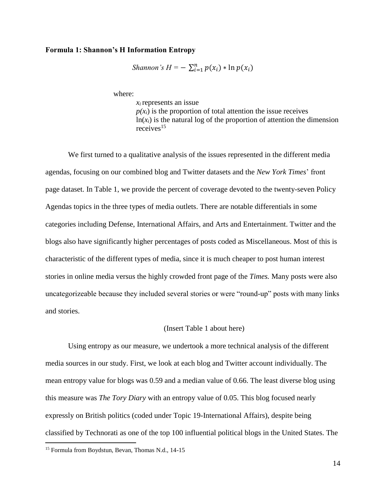#### **Formula 1: Shannon's H Information Entropy**

*Shannon's*  $H = -\sum_{i=1}^{n} p(x_i) * \ln p(x_i)$ 

where:

*xi* represents an issue  $p(x_i)$  is the proportion of total attention the issue receives  $ln(x_i)$  is the natural log of the proportion of attention the dimension receives<sup>15</sup>

We first turned to a qualitative analysis of the issues represented in the different media agendas, focusing on our combined blog and Twitter datasets and the *New York Times*' front page dataset. In Table 1, we provide the percent of coverage devoted to the twenty-seven Policy Agendas topics in the three types of media outlets. There are notable differentials in some categories including Defense, International Affairs, and Arts and Entertainment. Twitter and the blogs also have significantly higher percentages of posts coded as Miscellaneous. Most of this is characteristic of the different types of media, since it is much cheaper to post human interest stories in online media versus the highly crowded front page of the *Times.* Many posts were also uncategorizeable because they included several stories or were "round-up" posts with many links and stories.

#### (Insert Table 1 about here)

Using entropy as our measure, we undertook a more technical analysis of the different media sources in our study. First, we look at each blog and Twitter account individually. The mean entropy value for blogs was 0.59 and a median value of 0.66. The least diverse blog using this measure was *The Tory Diary* with an entropy value of 0.05. This blog focused nearly expressly on British politics (coded under Topic 19-International Affairs), despite being classified by Technorati as one of the top 100 influential political blogs in the United States. The

<sup>&</sup>lt;sup>15</sup> Formula from Boydstun, Bevan, Thomas N.d., 14-15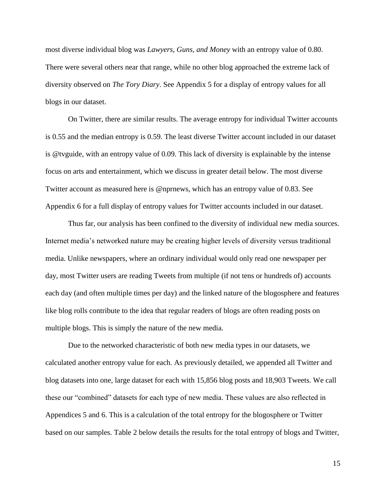most diverse individual blog was *Lawyers, Guns, and Money* with an entropy value of 0.80. There were several others near that range, while no other blog approached the extreme lack of diversity observed on *The Tory Diary*. See Appendix 5 for a display of entropy values for all blogs in our dataset.

On Twitter, there are similar results. The average entropy for individual Twitter accounts is 0.55 and the median entropy is 0.59. The least diverse Twitter account included in our dataset is @tvguide, with an entropy value of 0.09. This lack of diversity is explainable by the intense focus on arts and entertainment, which we discuss in greater detail below. The most diverse Twitter account as measured here is @nprnews, which has an entropy value of 0.83. See Appendix 6 for a full display of entropy values for Twitter accounts included in our dataset.

Thus far, our analysis has been confined to the diversity of individual new media sources. Internet media's networked nature may be creating higher levels of diversity versus traditional media. Unlike newspapers, where an ordinary individual would only read one newspaper per day, most Twitter users are reading Tweets from multiple (if not tens or hundreds of) accounts each day (and often multiple times per day) and the linked nature of the blogosphere and features like blog rolls contribute to the idea that regular readers of blogs are often reading posts on multiple blogs. This is simply the nature of the new media.

Due to the networked characteristic of both new media types in our datasets, we calculated another entropy value for each. As previously detailed, we appended all Twitter and blog datasets into one, large dataset for each with 15,856 blog posts and 18,903 Tweets. We call these our "combined" datasets for each type of new media. These values are also reflected in Appendices 5 and 6. This is a calculation of the total entropy for the blogosphere or Twitter based on our samples. Table 2 below details the results for the total entropy of blogs and Twitter,

15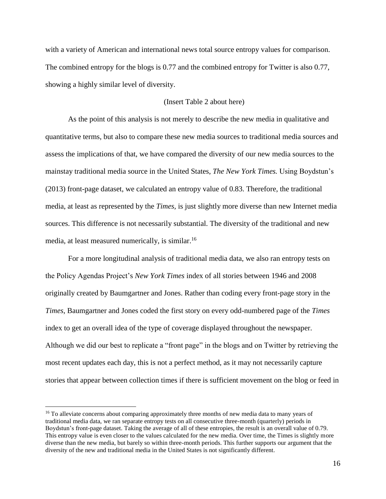with a variety of American and international news total source entropy values for comparison. The combined entropy for the blogs is 0.77 and the combined entropy for Twitter is also 0.77, showing a highly similar level of diversity.

### (Insert Table 2 about here)

As the point of this analysis is not merely to describe the new media in qualitative and quantitative terms, but also to compare these new media sources to traditional media sources and assess the implications of that, we have compared the diversity of our new media sources to the mainstay traditional media source in the United States, *The New York Times.* Using Boydstun's (2013) front-page dataset, we calculated an entropy value of 0.83. Therefore, the traditional media, at least as represented by the *Times,* is just slightly more diverse than new Internet media sources. This difference is not necessarily substantial. The diversity of the traditional and new media, at least measured numerically, is similar.<sup>16</sup>

For a more longitudinal analysis of traditional media data, we also ran entropy tests on the Policy Agendas Project's *New York Times* index of all stories between 1946 and 2008 originally created by Baumgartner and Jones. Rather than coding every front-page story in the *Times*, Baumgartner and Jones coded the first story on every odd-numbered page of the *Times*  index to get an overall idea of the type of coverage displayed throughout the newspaper. Although we did our best to replicate a "front page" in the blogs and on Twitter by retrieving the most recent updates each day, this is not a perfect method, as it may not necessarily capture stories that appear between collection times if there is sufficient movement on the blog or feed in

<sup>&</sup>lt;sup>16</sup> To alleviate concerns about comparing approximately three months of new media data to many years of traditional media data, we ran separate entropy tests on all consecutive three-month (quarterly) periods in Boydstun's front-page dataset. Taking the average of all of these entropies, the result is an overall value of 0.79. This entropy value is even closer to the values calculated for the new media. Over time, the Times is slightly more diverse than the new media, but barely so within three-month periods. This further supports our argument that the diversity of the new and traditional media in the United States is not significantly different.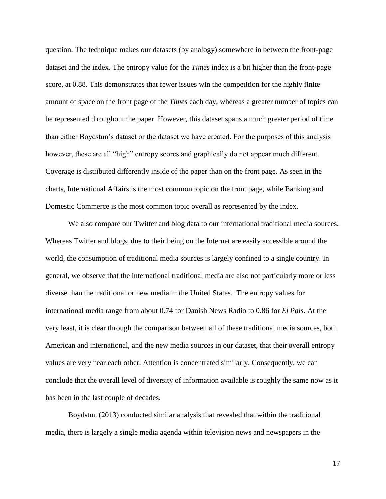question. The technique makes our datasets (by analogy) somewhere in between the front-page dataset and the index. The entropy value for the *Times* index is a bit higher than the front-page score, at 0.88. This demonstrates that fewer issues win the competition for the highly finite amount of space on the front page of the *Times* each day, whereas a greater number of topics can be represented throughout the paper. However, this dataset spans a much greater period of time than either Boydstun's dataset or the dataset we have created. For the purposes of this analysis however, these are all "high" entropy scores and graphically do not appear much different. Coverage is distributed differently inside of the paper than on the front page. As seen in the charts, International Affairs is the most common topic on the front page, while Banking and Domestic Commerce is the most common topic overall as represented by the index.

We also compare our Twitter and blog data to our international traditional media sources. Whereas Twitter and blogs, due to their being on the Internet are easily accessible around the world, the consumption of traditional media sources is largely confined to a single country. In general, we observe that the international traditional media are also not particularly more or less diverse than the traditional or new media in the United States. The entropy values for international media range from about 0.74 for Danish News Radio to 0.86 for *El Pais*. At the very least, it is clear through the comparison between all of these traditional media sources, both American and international, and the new media sources in our dataset, that their overall entropy values are very near each other. Attention is concentrated similarly. Consequently, we can conclude that the overall level of diversity of information available is roughly the same now as it has been in the last couple of decades.

Boydstun (2013) conducted similar analysis that revealed that within the traditional media, there is largely a single media agenda within television news and newspapers in the

17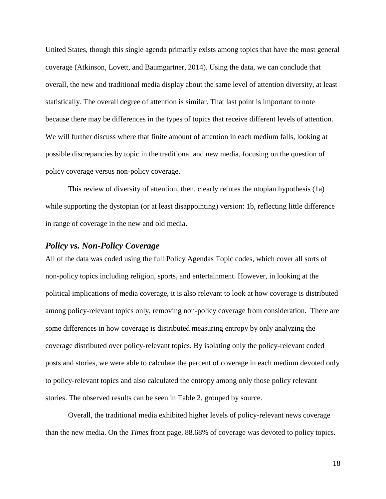United States, though this single agenda primarily exists among topics that have the most general coverage (Atkinson, Lovett, and Baumgartner, 2014). Using the data, we can conclude that overall, the new and traditional media display about the same level of attention diversity, at least statistically. The overall degree of attention is similar. That last point is important to note because there may be differences in the types of topics that receive different levels of attention. We will further discuss where that finite amount of attention in each medium falls, looking at possible discrepancies by topic in the traditional and new media, focusing on the question of policy coverage versus non-policy coverage.

This review of diversity of attention, then, clearly refutes the utopian hypothesis (1a) while supporting the dystopian (or at least disappointing) version: 1b, reflecting little difference in range of coverage in the new and old media.

## *Policy vs. Non-Policy Coverage*

All of the data was coded using the full Policy Agendas Topic codes, which cover all sorts of non-policy topics including religion, sports, and entertainment. However, in looking at the political implications of media coverage, it is also relevant to look at how coverage is distributed among policy-relevant topics only, removing non-policy coverage from consideration. There are some differences in how coverage is distributed measuring entropy by only analyzing the coverage distributed over policy-relevant topics. By isolating only the policy-relevant coded posts and stories, we were able to calculate the percent of coverage in each medium devoted only to policy-relevant topics and also calculated the entropy among only those policy relevant stories. The observed results can be seen in Table 2, grouped by source.

Overall, the traditional media exhibited higher levels of policy-relevant news coverage than the new media. On the *Times* front page, 88.68% of coverage was devoted to policy topics.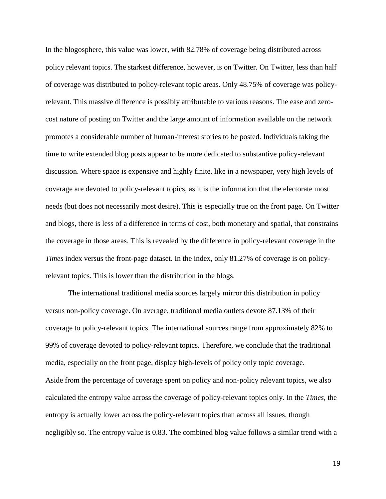In the blogosphere, this value was lower, with 82.78% of coverage being distributed across policy relevant topics. The starkest difference, however, is on Twitter. On Twitter, less than half of coverage was distributed to policy-relevant topic areas. Only 48.75% of coverage was policyrelevant. This massive difference is possibly attributable to various reasons. The ease and zerocost nature of posting on Twitter and the large amount of information available on the network promotes a considerable number of human-interest stories to be posted. Individuals taking the time to write extended blog posts appear to be more dedicated to substantive policy-relevant discussion. Where space is expensive and highly finite, like in a newspaper, very high levels of coverage are devoted to policy-relevant topics, as it is the information that the electorate most needs (but does not necessarily most desire). This is especially true on the front page. On Twitter and blogs, there is less of a difference in terms of cost, both monetary and spatial, that constrains the coverage in those areas. This is revealed by the difference in policy-relevant coverage in the *Times* index versus the front-page dataset. In the index, only 81.27% of coverage is on policyrelevant topics. This is lower than the distribution in the blogs.

The international traditional media sources largely mirror this distribution in policy versus non-policy coverage. On average, traditional media outlets devote 87.13% of their coverage to policy-relevant topics. The international sources range from approximately 82% to 99% of coverage devoted to policy-relevant topics. Therefore, we conclude that the traditional media, especially on the front page, display high-levels of policy only topic coverage. Aside from the percentage of coverage spent on policy and non-policy relevant topics, we also calculated the entropy value across the coverage of policy-relevant topics only. In the *Times,* the entropy is actually lower across the policy-relevant topics than across all issues, though negligibly so. The entropy value is 0.83. The combined blog value follows a similar trend with a

19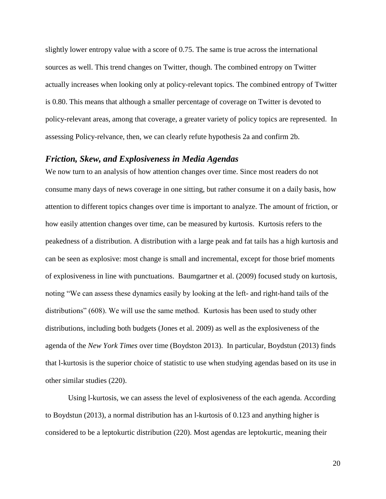slightly lower entropy value with a score of 0.75. The same is true across the international sources as well. This trend changes on Twitter, though. The combined entropy on Twitter actually increases when looking only at policy-relevant topics. The combined entropy of Twitter is 0.80. This means that although a smaller percentage of coverage on Twitter is devoted to policy-relevant areas, among that coverage, a greater variety of policy topics are represented. In assessing Policy-relvance, then, we can clearly refute hypothesis 2a and confirm 2b.

### *Friction, Skew, and Explosiveness in Media Agendas*

We now turn to an analysis of how attention changes over time. Since most readers do not consume many days of news coverage in one sitting, but rather consume it on a daily basis, how attention to different topics changes over time is important to analyze. The amount of friction, or how easily attention changes over time, can be measured by kurtosis. Kurtosis refers to the peakedness of a distribution. A distribution with a large peak and fat tails has a high kurtosis and can be seen as explosive: most change is small and incremental, except for those brief moments of explosiveness in line with punctuations. Baumgartner et al. (2009) focused study on kurtosis, noting "We can assess these dynamics easily by looking at the left- and right-hand tails of the distributions" (608). We will use the same method. Kurtosis has been used to study other distributions, including both budgets (Jones et al. 2009) as well as the explosiveness of the agenda of the *New York Times* over time (Boydston 2013). In particular, Boydstun (2013) finds that l-kurtosis is the superior choice of statistic to use when studying agendas based on its use in other similar studies (220).

Using l-kurtosis, we can assess the level of explosiveness of the each agenda. According to Boydstun (2013), a normal distribution has an l-kurtosis of 0.123 and anything higher is considered to be a leptokurtic distribution (220). Most agendas are leptokurtic, meaning their

20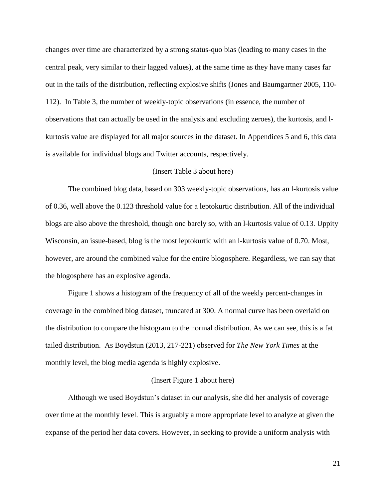changes over time are characterized by a strong status-quo bias (leading to many cases in the central peak, very similar to their lagged values), at the same time as they have many cases far out in the tails of the distribution, reflecting explosive shifts (Jones and Baumgartner 2005, 110- 112). In Table 3, the number of weekly-topic observations (in essence, the number of observations that can actually be used in the analysis and excluding zeroes), the kurtosis, and lkurtosis value are displayed for all major sources in the dataset. In Appendices 5 and 6, this data is available for individual blogs and Twitter accounts, respectively.

#### (Insert Table 3 about here)

The combined blog data, based on 303 weekly-topic observations, has an l-kurtosis value of 0.36, well above the 0.123 threshold value for a leptokurtic distribution. All of the individual blogs are also above the threshold, though one barely so, with an l-kurtosis value of 0.13. Uppity Wisconsin, an issue-based, blog is the most leptokurtic with an l-kurtosis value of 0.70. Most, however, are around the combined value for the entire blogosphere. Regardless, we can say that the blogosphere has an explosive agenda.

Figure 1 shows a histogram of the frequency of all of the weekly percent-changes in coverage in the combined blog dataset, truncated at 300. A normal curve has been overlaid on the distribution to compare the histogram to the normal distribution. As we can see, this is a fat tailed distribution. As Boydstun (2013, 217-221) observed for *The New York Times* at the monthly level, the blog media agenda is highly explosive.

#### (Insert Figure 1 about here)

Although we used Boydstun's dataset in our analysis, she did her analysis of coverage over time at the monthly level. This is arguably a more appropriate level to analyze at given the expanse of the period her data covers. However, in seeking to provide a uniform analysis with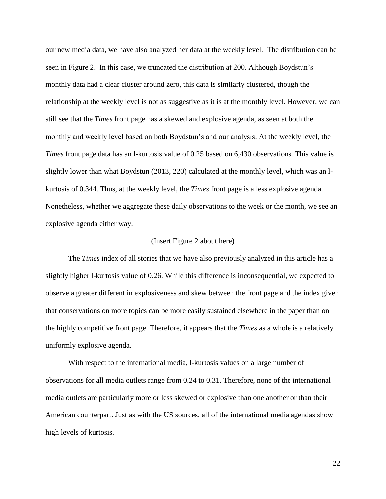our new media data, we have also analyzed her data at the weekly level. The distribution can be seen in Figure 2. In this case, we truncated the distribution at 200. Although Boydstun's monthly data had a clear cluster around zero, this data is similarly clustered, though the relationship at the weekly level is not as suggestive as it is at the monthly level. However, we can still see that the *Times* front page has a skewed and explosive agenda, as seen at both the monthly and weekly level based on both Boydstun's and our analysis. At the weekly level, the *Times* front page data has an l-kurtosis value of 0.25 based on 6,430 observations. This value is slightly lower than what Boydstun (2013, 220) calculated at the monthly level, which was an lkurtosis of 0.344. Thus, at the weekly level, the *Times* front page is a less explosive agenda. Nonetheless, whether we aggregate these daily observations to the week or the month, we see an explosive agenda either way.

#### (Insert Figure 2 about here)

The *Times* index of all stories that we have also previously analyzed in this article has a slightly higher l-kurtosis value of 0.26. While this difference is inconsequential, we expected to observe a greater different in explosiveness and skew between the front page and the index given that conservations on more topics can be more easily sustained elsewhere in the paper than on the highly competitive front page. Therefore, it appears that the *Times* as a whole is a relatively uniformly explosive agenda.

With respect to the international media, l-kurtosis values on a large number of observations for all media outlets range from 0.24 to 0.31. Therefore, none of the international media outlets are particularly more or less skewed or explosive than one another or than their American counterpart. Just as with the US sources, all of the international media agendas show high levels of kurtosis.

22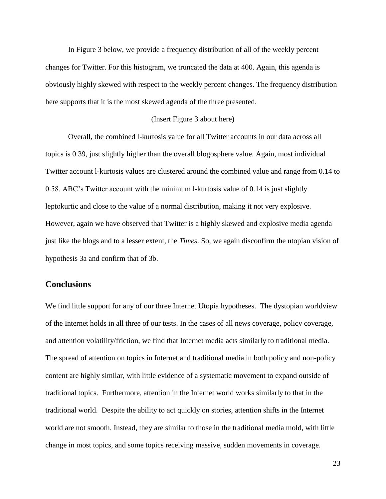In Figure 3 below, we provide a frequency distribution of all of the weekly percent changes for Twitter. For this histogram, we truncated the data at 400. Again, this agenda is obviously highly skewed with respect to the weekly percent changes. The frequency distribution here supports that it is the most skewed agenda of the three presented.

#### (Insert Figure 3 about here)

Overall, the combined l-kurtosis value for all Twitter accounts in our data across all topics is 0.39, just slightly higher than the overall blogosphere value. Again, most individual Twitter account l-kurtosis values are clustered around the combined value and range from 0.14 to 0.58. ABC's Twitter account with the minimum l-kurtosis value of 0.14 is just slightly leptokurtic and close to the value of a normal distribution, making it not very explosive. However, again we have observed that Twitter is a highly skewed and explosive media agenda just like the blogs and to a lesser extent, the *Times.* So, we again disconfirm the utopian vision of hypothesis 3a and confirm that of 3b.

## **Conclusions**

We find little support for any of our three Internet Utopia hypotheses. The dystopian worldview of the Internet holds in all three of our tests. In the cases of all news coverage, policy coverage, and attention volatility/friction, we find that Internet media acts similarly to traditional media. The spread of attention on topics in Internet and traditional media in both policy and non-policy content are highly similar, with little evidence of a systematic movement to expand outside of traditional topics. Furthermore, attention in the Internet world works similarly to that in the traditional world. Despite the ability to act quickly on stories, attention shifts in the Internet world are not smooth. Instead, they are similar to those in the traditional media mold, with little change in most topics, and some topics receiving massive, sudden movements in coverage.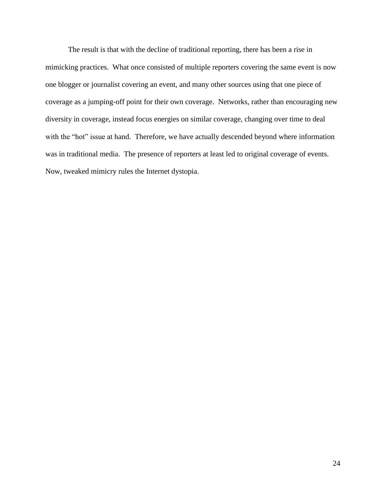The result is that with the decline of traditional reporting, there has been a rise in mimicking practices. What once consisted of multiple reporters covering the same event is now one blogger or journalist covering an event, and many other sources using that one piece of coverage as a jumping-off point for their own coverage. Networks, rather than encouraging new diversity in coverage, instead focus energies on similar coverage, changing over time to deal with the "hot" issue at hand. Therefore, we have actually descended beyond where information was in traditional media. The presence of reporters at least led to original coverage of events. Now, tweaked mimicry rules the Internet dystopia.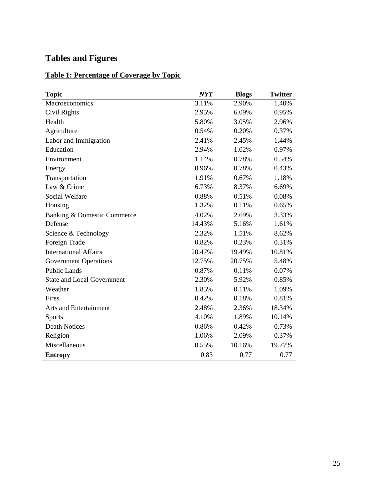# **Tables and Figures**

## **Table 1: Percentage of Coverage by Topic**

| <b>Topic</b>                      | NYT    | <b>Blogs</b> | <b>Twitter</b> |
|-----------------------------------|--------|--------------|----------------|
| Macroeconomics                    | 3.11%  | 2.90%        | 1.40%          |
| Civil Rights                      | 2.95%  | 6.09%        | 0.95%          |
| Health                            | 5.80%  | 3.05%        | 2.96%          |
| Agriculture                       | 0.54%  | 0.20%        | 0.37%          |
| Labor and Immigration             | 2.41%  | 2.45%        | 1.44%          |
| Education                         | 2.94%  | 1.02%        | 0.97%          |
| Environment                       | 1.14%  | 0.78%        | 0.54%          |
| Energy                            | 0.96%  | 0.78%        | 0.43%          |
| Transportation                    | 1.91%  | 0.67%        | 1.18%          |
| Law & Crime                       | 6.73%  | 8.37%        | 6.69%          |
| <b>Social Welfare</b>             | 0.88%  | 0.51%        | 0.08%          |
| Housing                           | 1.32%  | 0.11%        | 0.65%          |
| Banking & Domestic Commerce       | 4.02%  | 2.69%        | 3.33%          |
| Defense                           | 14.43% | 5.16%        | 1.61%          |
| Science & Technology              | 2.32%  | 1.51%        | 8.62%          |
| Foreign Trade                     | 0.82%  | 0.23%        | 0.31%          |
| <b>International Affairs</b>      | 20.47% | 19.49%       | 10.81%         |
| <b>Government Operations</b>      | 12.75% | 20.75%       | 5.48%          |
| <b>Public Lands</b>               | 0.87%  | 0.11%        | 0.07%          |
| <b>State and Local Government</b> | 2.30%  | 5.92%        | 0.85%          |
| Weather                           | 1.85%  | 0.11%        | 1.09%          |
| Fires                             | 0.42%  | 0.18%        | 0.81%          |
| <b>Arts and Entertainment</b>     | 2.48%  | 2.36%        | 18.34%         |
| <b>Sports</b>                     | 4.10%  | 1.89%        | 10.14%         |
| <b>Death Notices</b>              | 0.86%  | 0.42%        | 0.73%          |
| Religion                          | 1.06%  | 2.09%        | 0.37%          |
| Miscellaneous                     | 0.55%  | 10.16%       | 19.77%         |
| <b>Entropy</b>                    | 0.83   | 0.77         | 0.77           |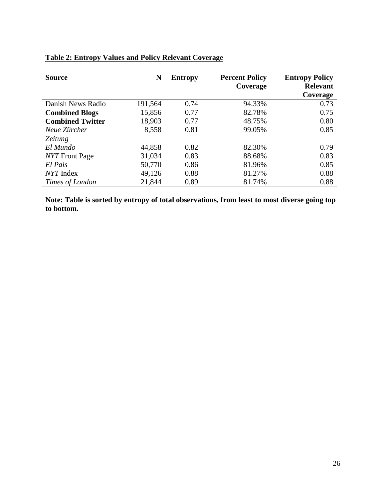| <b>Source</b>           | N       | <b>Entropy</b> | <b>Percent Policy</b><br>Coverage | <b>Entropy Policy</b><br><b>Relevant</b><br>Coverage |
|-------------------------|---------|----------------|-----------------------------------|------------------------------------------------------|
| Danish News Radio       | 191,564 | 0.74           | 94.33%                            | 0.73                                                 |
| <b>Combined Blogs</b>   | 15,856  | 0.77           | 82.78%                            | 0.75                                                 |
| <b>Combined Twitter</b> | 18,903  | 0.77           | 48.75%                            | 0.80                                                 |
| Neue Zürcher            | 8,558   | 0.81           | 99.05%                            | 0.85                                                 |
| <i>Zeitung</i>          |         |                |                                   |                                                      |
| El Mundo                | 44,858  | 0.82           | 82.30%                            | 0.79                                                 |
| <i>NYT</i> Front Page   | 31,034  | 0.83           | 88.68%                            | 0.83                                                 |
| El Pais                 | 50,770  | 0.86           | 81.96%                            | 0.85                                                 |
| NYT Index               | 49,126  | 0.88           | 81.27%                            | 0.88                                                 |
| Times of London         | 21,844  | 0.89           | 81.74%                            | 0.88                                                 |

## **Table 2: Entropy Values and Policy Relevant Coverage**

**Note: Table is sorted by entropy of total observations, from least to most diverse going top to bottom.**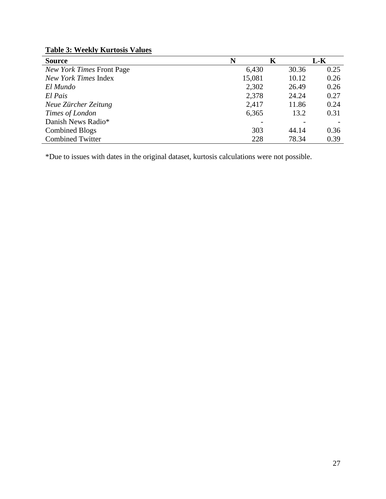| <b>Table 3: Weekly Kurtosis Values</b> |  |  |  |
|----------------------------------------|--|--|--|
|----------------------------------------|--|--|--|

| <b>Source</b>                    | N      | K     | L-K  |
|----------------------------------|--------|-------|------|
| <b>New York Times Front Page</b> | 6,430  | 30.36 | 0.25 |
| New York Times Index             | 15,081 | 10.12 | 0.26 |
| El Mundo                         | 2,302  | 26.49 | 0.26 |
| El Pais                          | 2,378  | 24.24 | 0.27 |
| Neue Zürcher Zeitung             | 2,417  | 11.86 | 0.24 |
| Times of London                  | 6,365  | 13.2  | 0.31 |
| Danish News Radio*               |        |       |      |
| <b>Combined Blogs</b>            | 303    | 44.14 | 0.36 |
| <b>Combined Twitter</b>          | 228    | 78.34 | 0.39 |

\*Due to issues with dates in the original dataset, kurtosis calculations were not possible.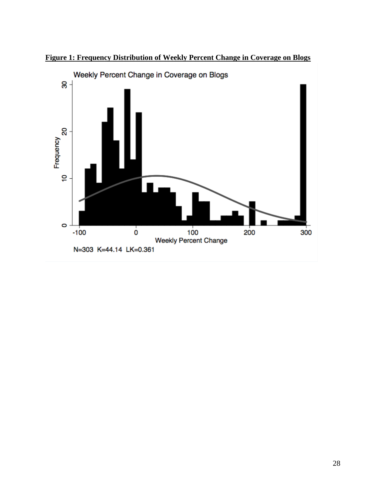

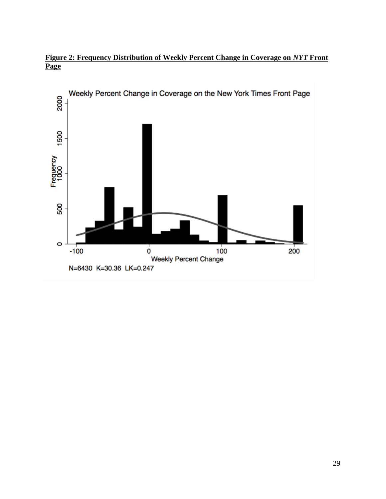

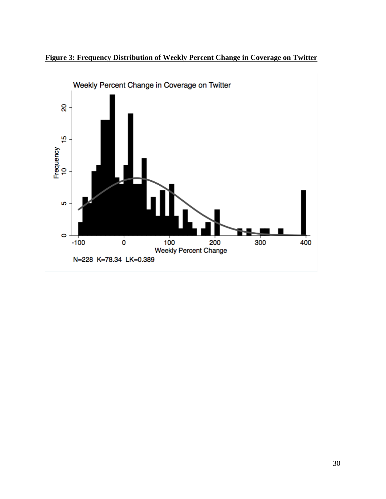

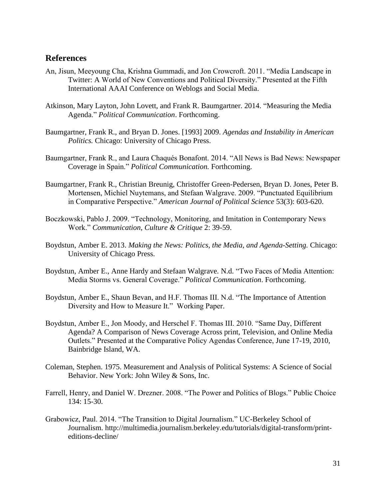## **References**

- An, Jisun, Meeyoung Cha, Krishna Gummadi, and Jon Crowcroft. 2011. "Media Landscape in Twitter: A World of New Conventions and Political Diversity." Presented at the Fifth International AAAI Conference on Weblogs and Social Media.
- Atkinson, Mary Layton, John Lovett, and Frank R. Baumgartner. 2014. "Measuring the Media Agenda." *Political Communication*. Forthcoming.
- Baumgartner, Frank R., and Bryan D. Jones. [1993] 2009. *Agendas and Instability in American Politics.* Chicago: University of Chicago Press.
- Baumgartner, Frank R., and Laura Chaqués Bonafont. 2014. "All News is Bad News: Newspaper Coverage in Spain." *Political Communication.* Forthcoming.
- Baumgartner, Frank R., Christian Breunig, Christoffer Green-Pedersen, Bryan D. Jones, Peter B. Mortensen, Michiel Nuytemans, and Stefaan Walgrave. 2009. "Punctuated Equilibrium in Comparative Perspective." *American Journal of Political Science* 53(3): 603-620.
- Boczkowski, Pablo J. 2009. "Technology, Monitoring, and Imitation in Contemporary News Work." *Communication, Culture & Critique* 2: 39-59.
- Boydstun, Amber E. 2013. *Making the News: Politics, the Media, and Agenda-Setting.* Chicago: University of Chicago Press.
- Boydstun, Amber E., Anne Hardy and Stefaan Walgrave. N.d. "Two Faces of Media Attention: Media Storms vs. General Coverage." *Political Communication*. Forthcoming.
- Boydstun, Amber E., Shaun Bevan, and H.F. Thomas III. N.d. "The Importance of Attention Diversity and How to Measure It." Working Paper.
- Boydstun, Amber E., Jon Moody, and Herschel F. Thomas III. 2010. "Same Day, Different Agenda? A Comparison of News Coverage Across print, Television, and Online Media Outlets." Presented at the Comparative Policy Agendas Conference, June 17-19, 2010, Bainbridge Island, WA.
- Coleman, Stephen. 1975. Measurement and Analysis of Political Systems: A Science of Social Behavior. New York: John Wiley & Sons, Inc.
- Farrell, Henry, and Daniel W. Drezner. 2008. "The Power and Politics of Blogs." Public Choice 134: 15-30.
- Grabowicz, Paul. 2014. "The Transition to Digital Journalism." UC-Berkeley School of Journalism. http://multimedia.journalism.berkeley.edu/tutorials/digital-transform/printeditions-decline/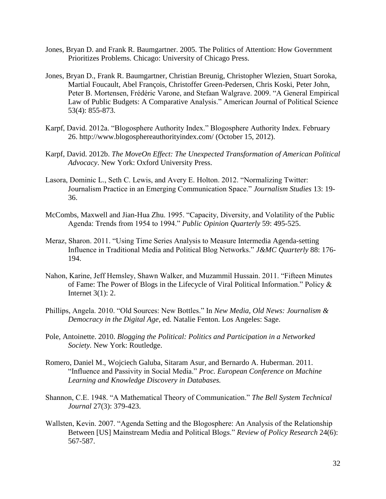- Jones, Bryan D. and Frank R. Baumgartner. 2005. The Politics of Attention: How Government Prioritizes Problems. Chicago: University of Chicago Press.
- Jones, Bryan D., Frank R. Baumgartner, Christian Breunig, Christopher Wlezien, Stuart Soroka, Martial Foucault, Abel François, Christoffer Green-Pedersen, Chris Koski, Peter John, Peter B. Mortensen, Frédéric Varone, and Stefaan Walgrave. 2009. "A General Empirical Law of Public Budgets: A Comparative Analysis." American Journal of Political Science 53(4): 855-873.
- Karpf, David. 2012a. "Blogosphere Authority Index." Blogosphere Authority Index. February 26. http://www.blogosphereauthorityindex.com/ (October 15, 2012).
- Karpf, David. 2012b. *The MoveOn Effect: The Unexpected Transformation of American Political Advocacy*. New York: Oxford University Press.
- Lasora, Dominic L., Seth C. Lewis, and Avery E. Holton. 2012. "Normalizing Twitter: Journalism Practice in an Emerging Communication Space." *Journalism Studies* 13: 19- 36.
- McCombs, Maxwell and Jian-Hua Zhu. 1995. "Capacity, Diversity, and Volatility of the Public Agenda: Trends from 1954 to 1994." *Public Opinion Quarterly* 59: 495-525.
- Meraz, Sharon. 2011. "Using Time Series Analysis to Measure Intermedia Agenda-setting Influence in Traditional Media and Political Blog Networks." *J&MC Quarterly* 88: 176- 194.
- Nahon, Karine, Jeff Hemsley, Shawn Walker, and Muzammil Hussain. 2011. "Fifteen Minutes of Fame: The Power of Blogs in the Lifecycle of Viral Political Information." Policy & Internet 3(1): 2.
- Phillips, Angela. 2010. "Old Sources: New Bottles." In *New Media, Old News: Journalism & Democracy in the Digital Age,* ed. Natalie Fenton. Los Angeles: Sage.
- Pole, Antoinette. 2010. *Blogging the Political: Politics and Participation in a Networked Society.* New York: Routledge.
- Romero, Daniel M., Wojciech Galuba, Sitaram Asur, and Bernardo A. Huberman. 2011. "Influence and Passivity in Social Media." *Proc. European Conference on Machine Learning and Knowledge Discovery in Databases.*
- Shannon, C.E. 1948. "A Mathematical Theory of Communication." *The Bell System Technical Journal* 27(3): 379-423.
- Wallsten, Kevin. 2007. "Agenda Setting and the Blogosphere: An Analysis of the Relationship Between [US] Mainstream Media and Political Blogs." *Review of Policy Research* 24(6): 567-587.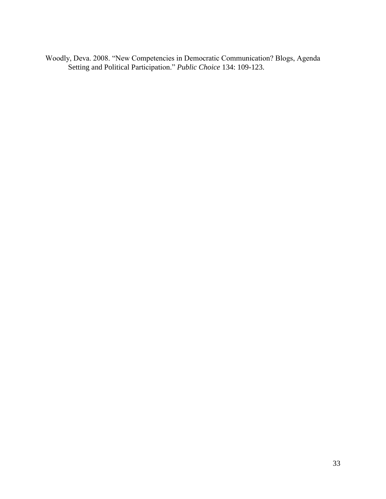Woodly, Deva. 2008. "New Competencies in Democratic Communication? Blogs, Agenda Setting and Political Participation." *Public Choice* 134: 109-123.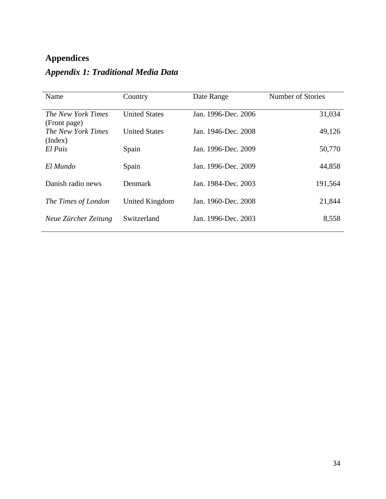# **Appendices**

| Name                               | Country              | Date Range          | Number of Stories |
|------------------------------------|----------------------|---------------------|-------------------|
| The New York Times<br>(Front page) | <b>United States</b> | Jan. 1996-Dec. 2006 | 31,034            |
| The New York Times<br>(Index)      | <b>United States</b> | Jan. 1946-Dec. 2008 | 49,126            |
| El Pais                            | Spain                | Jan. 1996-Dec. 2009 | 50,770            |
| El Mundo                           | Spain                | Jan. 1996-Dec. 2009 | 44,858            |
| Danish radio news                  | <b>Denmark</b>       | Jan. 1984-Dec. 2003 | 191,564           |
| The Times of London                | United Kingdom       | Jan. 1960-Dec. 2008 | 21,844            |
| Neue Zürcher Zeitung               | Switzerland          | Jan. 1996-Dec. 2003 | 8,558             |

# *Appendix 1: Traditional Media Data*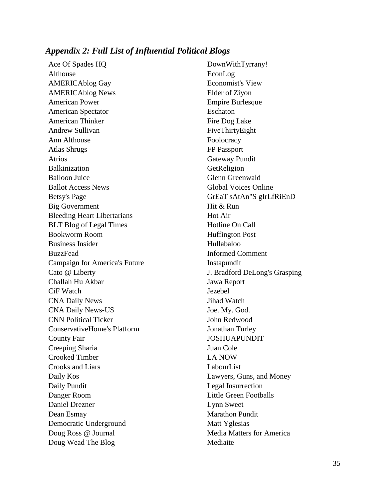## *Appendix 2: Full List of Influential Political Blogs*

Ace Of Spades HQ Althouse AMERICAblog Gay AMERICAblog News American Power American Spectator American Thinker Andrew Sullivan Ann Althouse Atlas Shrugs Atrios Balkinization Balloon Juice Ballot Access News Betsy's Page Big Government Bleeding Heart Libertarians BLT Blog of Legal Times Bookworm Room Business Insider BuzzFead Campaign for America's Future Cato @ Liberty Challah Hu Akbar CiF Watch CNA Daily News CNA Daily News-US CNN Political Ticker ConservativeHome's Platform County Fair Creeping Sharia Crooked Timber Crooks and Liars Daily Kos Daily Pundit Danger Room Daniel Drezner Dean Esmay Democratic Underground Doug Ross @ Journal Doug Wead The Blog

DownWithTyrrany! EconLog Economist's View Elder of Ziyon Empire Burlesque Eschaton Fire Dog Lake FiveThirtyEight Foolocracy FP Passport Gateway Pundit GetReligion Glenn Greenwald Global Voices Online GrEaT sAtAn"S gIrLfRiEnD Hit & Run Hot Air Hotline On Call Huffington Post Hullabaloo Informed Comment Instapundit J. Bradford DeLong's Grasping Jawa Report Jezebel Jihad Watch Joe. My. God. John Redwood Jonathan Turley JOSHUAPUNDIT Juan Cole LA NOW LabourList Lawyers, Guns, and Money Legal Insurrection Little Green Footballs Lynn Sweet Marathon Pundit Matt Yglesias Media Matters for America Mediaite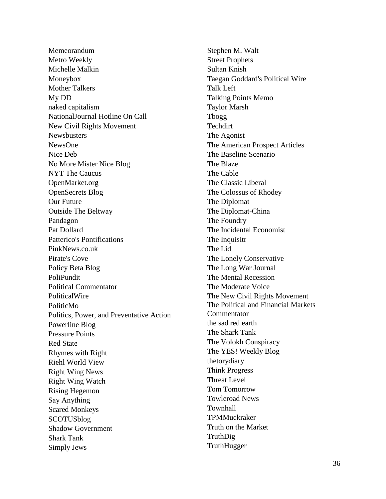Memeorandum Metro Weekly Michelle Malkin Moneybox Mother Talkers My DD naked capitalism NationalJournal Hotline On Call New Civil Rights Movement Newsbusters NewsOne Nice Deb No More Mister Nice Blog NYT The Caucus OpenMarket.org OpenSecrets Blog Our Future Outside The Beltway Pandagon Pat Dollard Patterico's Pontifications PinkNews.co.uk Pirate's Cove Policy Beta Blog PoliPundit Political Commentator PoliticalWire PoliticMo Politics, Power, and Preventative Action Powerline Blog Pressure Points Red State Rhymes with Right Riehl World View Right Wing News Right Wing Watch Rising Hegemon Say Anything Scared Monkeys SCOTUSblog Shadow Government Shark Tank Simply Jews

Stephen M. Walt Street Prophets Sultan Knish Taegan Goddard's Political Wire Talk Left Talking Points Memo Taylor Marsh Tbogg Techdirt The Agonist The American Prospect Articles The Baseline Scenario The Blaze The Cable The Classic Liberal The Colossus of Rhodey The Diplomat The Diplomat-China The Foundry The Incidental Economist The Inquisitr The Lid The Lonely Conservative The Long War Journal The Mental Recession The Moderate Voice The New Civil Rights Movement The Political and Financial Markets **Commentator** the sad red earth The Shark Tank The Volokh Conspiracy The YES! Weekly Blog thetorydiary Think Progress Threat Level Tom Tomorrow Towleroad News Townhall **TPMMuckraker** Truth on the Market TruthDig **TruthHugger**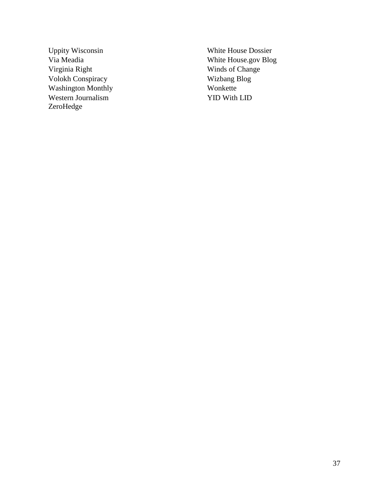Uppity Wisconsin Via Meadia Virginia Right Volokh Conspiracy Washington Monthly Western Journalism ZeroHedge

White House Dossier White House.gov Blog Winds of Change Wizbang Blog Wonkette YID With LID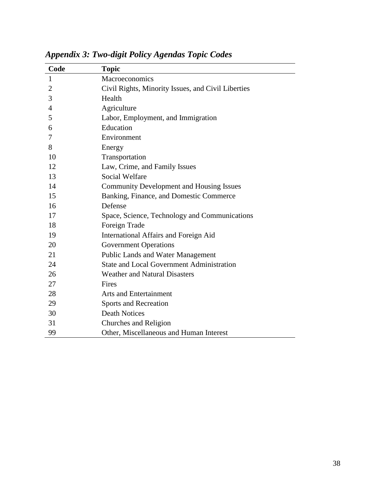| Code           | <b>Topic</b>                                       |
|----------------|----------------------------------------------------|
| $\mathbf{1}$   | Macroeconomics                                     |
| $\overline{2}$ | Civil Rights, Minority Issues, and Civil Liberties |
| 3              | Health                                             |
| $\overline{4}$ | Agriculture                                        |
| 5              | Labor, Employment, and Immigration                 |
| 6              | Education                                          |
| 7              | Environment                                        |
| 8              | Energy                                             |
| 10             | Transportation                                     |
| 12             | Law, Crime, and Family Issues                      |
| 13             | <b>Social Welfare</b>                              |
| 14             | <b>Community Development and Housing Issues</b>    |
| 15             | Banking, Finance, and Domestic Commerce            |
| 16             | Defense                                            |
| 17             | Space, Science, Technology and Communications      |
| 18             | Foreign Trade                                      |
| 19             | International Affairs and Foreign Aid              |
| 20             | <b>Government Operations</b>                       |
| 21             | <b>Public Lands and Water Management</b>           |
| 24             | <b>State and Local Government Administration</b>   |
| 26             | <b>Weather and Natural Disasters</b>               |
| 27             | Fires                                              |
| 28             | Arts and Entertainment                             |
| 29             | Sports and Recreation                              |
| 30             | <b>Death Notices</b>                               |
| 31             | Churches and Religion                              |
| 99             | Other, Miscellaneous and Human Interest            |

*Appendix 3: Two-digit Policy Agendas Topic Codes*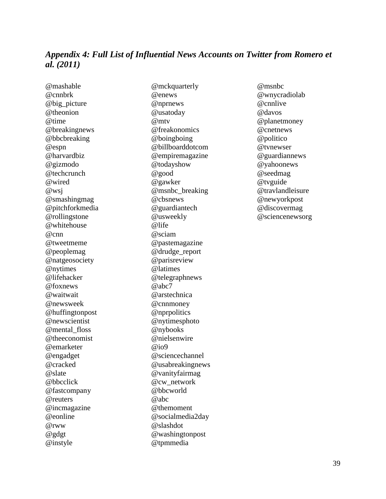## *Appendix 4: Full List of Influential News Accounts on Twitter from Romero et al. (2011)*

@mashable @cnnbrk @big\_picture @theonion @time @breakingnews @bbcbreaking @espn @harvardbiz @gizmodo @techcrunch @wired @wsj @smashingmag @pitchforkmedia @rollingstone @whitehouse @cnn @tweetmeme @peoplemag @natgeosociety @nytimes @lifehacker @foxnews @waitwait @newsweek @huffingtonpost @newscientist @mental\_floss @theeconomist @emarketer @engadget @cracked @slate @bbcclick @fastcompany @reuters @incmagazine @eonline @rww @gdgt @instyle

@mckquarterly @enews @nprnews @usatoday @mtv @freakonomics @boingboing @billboarddotcom @empiremagazine @todayshow @good @gawker @msnbc\_breaking @cbsnews @guardiantech @usweekly @life @sciam @pastemagazine @drudge\_report @parisreview @latimes @telegraphnews @abc7 @arstechnica @cnnmoney @nprpolitics @nytimesphoto @nybooks @nielsenwire @io9 @sciencechannel @usabreakingnews @vanityfairmag @cw\_network @bbcworld @abc @themoment @socialmedia2day @slashdot @washingtonpost @tpmmedia

@msnbc @wnycradiolab @cnnlive @davos @planetmoney @cnetnews @politico @tvnewser @guardiannews @yahoonews @seedmag @tvguide @travlandleisure @newyorkpost @discovermag @sciencenewsorg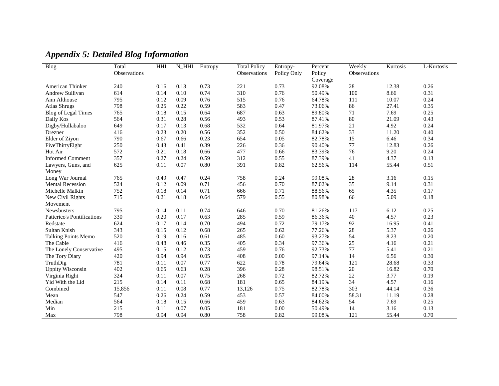| <b>Blog</b>                       | Total               | HHI  | $N_HHI$ | Entropy | <b>Total Policy</b> | Entropy-    | Percent  | Weekly              | Kurtosis | L-Kurtosis |
|-----------------------------------|---------------------|------|---------|---------|---------------------|-------------|----------|---------------------|----------|------------|
|                                   | <b>Observations</b> |      |         |         | Observations        | Policy Only | Policy   | <b>Observations</b> |          |            |
|                                   |                     |      |         |         |                     |             | Coverage |                     |          |            |
| American Thinker                  | 240                 | 0.16 | 0.13    | 0.73    | $\overline{221}$    | 0.73        | 92.08%   | $\overline{28}$     | 12.38    | 0.26       |
| <b>Andrew Sullivan</b>            | 614                 | 0.14 | 0.10    | 0.74    | 310                 | 0.76        | 50.49%   | $100\,$             | 8.66     | 0.31       |
| Ann Althouse                      | 795                 | 0.12 | 0.09    | 0.76    | 515                 | 0.76        | 64.78%   | 111                 | 10.07    | 0.24       |
| <b>Atlas Shrugs</b>               | 798                 | 0.25 | 0.22    | 0.59    | 583                 | 0.47        | 73.06%   | 86                  | 27.41    | 0.35       |
| <b>Blog of Legal Times</b>        | 765                 | 0.18 | 0.15    | 0.64    | 687                 | 0.63        | 89.80%   | 71                  | 7.69     | 0.25       |
| Daily Kos                         | 564                 | 0.31 | 0.28    | 0.56    | 493                 | 0.53        | 87.41%   | 80                  | 21.09    | 0.43       |
| Digby/Hullabaloo                  | 649                 | 0.17 | 0.13    | 0.68    | 532                 | 0.64        | 81.97%   | 21                  | 4.92     | 0.24       |
| Drezner                           | 416                 | 0.23 | 0.20    | 0.56    | 352                 | 0.50        | 84.62%   | 33                  | 11.20    | 0.40       |
| Elder of Ziyon                    | 790                 | 0.67 | 0.66    | 0.23    | 654                 | 0.05        | 82.78%   | 15                  | 6.46     | 0.34       |
| FiveThirtyEight                   | 250                 | 0.43 | 0.41    | 0.39    | 226                 | 0.36        | 90.40%   | 77                  | 12.83    | 0.26       |
| Hot Air                           | 572                 | 0.21 | 0.18    | 0.66    | 477                 | 0.66        | 83.39%   | 76                  | 9.20     | 0.24       |
| <b>Informed Comment</b>           | 357                 | 0.27 | 0.24    | 0.59    | 312                 | 0.55        | 87.39%   | 41                  | 4.37     | 0.13       |
| Lawyers, Guns, and                | 625                 | 0.11 | 0.07    | 0.80    | 391                 | 0.82        | 62.56%   | 114                 | 55.44    | 0.51       |
| Money                             |                     |      |         |         |                     |             |          |                     |          |            |
| Long War Journal                  | 765                 | 0.49 | 0.47    | 0.24    | 758                 | 0.24        | 99.08%   | 28                  | 3.16     | 0.15       |
| <b>Mental Recession</b>           | 524                 | 0.12 | 0.09    | 0.71    | 456                 | 0.70        | 87.02%   | 35                  | 9.14     | 0.31       |
| Michelle Malkin                   | 752                 | 0.18 | 0.14    | 0.71    | 666                 | 0.71        | 88.56%   | 65                  | 4.35     | 0.17       |
| New Civil Rights                  | 715                 | 0.21 | 0.18    | 0.64    | 579                 | 0.55        | 80.98%   | 66                  | 5.09     | 0.18       |
| Movement                          |                     |      |         |         |                     |             |          |                     |          |            |
| <b>Newsbusters</b>                | 795                 | 0.14 | 0.11    | 0.74    | 646                 | 0.70        | 81.26%   | 117                 | 6.12     | 0.25       |
| <b>Patterico's Pontifications</b> | 330                 | 0.20 | 0.17    | 0.63    | 285                 | 0.59        | 86.36%   | 40                  | 4.57     | 0.23       |
| Redstate                          | 624                 | 0.17 | 0.14    | 0.70    | 494                 | 0.72        | 79.17%   | 92                  | 16.95    | 0.41       |
| Sultan Knish                      | 343                 | 0.15 | 0.12    | 0.68    | 265                 | 0.62        | 77.26%   | 28                  | 5.37     | 0.26       |
| <b>Talking Points Memo</b>        | 520                 | 0.19 | 0.16    | 0.61    | 485                 | 0.60        | 93.27%   | 54                  | 8.23     | 0.20       |
| The Cable                         | 416                 | 0.48 | 0.46    | 0.35    | 405                 | 0.34        | 97.36%   | 25                  | 4.16     | 0.21       |
| The Lonely Conservative           | 495                 | 0.15 | 0.12    | 0.73    | 459                 | 0.76        | 92.73%   | 77                  | 5.41     | 0.21       |
| The Tory Diary                    | 420                 | 0.94 | 0.94    | 0.05    | 408                 | 0.00        | 97.14%   | 14                  | 6.56     | 0.30       |
| TruthDig                          | 781                 | 0.11 | 0.07    | 0.77    | 622                 | 0.78        | 79.64%   | 121                 | 28.68    | 0.33       |
| <b>Uppity Wisconsin</b>           | 402                 | 0.65 | 0.63    | 0.28    | 396                 | 0.28        | 98.51%   | 20                  | 16.82    | 0.70       |
| Virginia Right                    | 324                 | 0.11 | 0.07    | 0.75    | 268                 | 0.72        | 82.72%   | $22\,$              | 3.77     | 0.19       |
| Yid With the Lid                  | 215                 | 0.14 | 0.11    | 0.68    | 181                 | 0.65        | 84.19%   | 34                  | 4.57     | 0.16       |
| Combined                          | 15,856              | 0.11 | 0.08    | 0.77    | 13,126              | 0.75        | 82.78%   | 303                 | 44.14    | 0.36       |
| Mean                              | 547                 | 0.26 | 0.24    | 0.59    | 453                 | 0.57        | 84.00%   | 58.31               | 11.19    | 0.28       |
| Median                            | 564                 | 0.18 | 0.15    | 0.66    | 459                 | 0.63        | 84.62%   | 54                  | 7.69     | 0.25       |
| Min                               | 215                 | 0.11 | 0.07    | 0.05    | 181                 | 0.00        | 50.49%   | 14                  | 3.16     | 0.13       |
| Max                               | 798                 | 0.94 | 0.94    | 0.80    | 758                 | 0.82        | 99.08%   | 121                 | 55.44    | 0.70       |

## *Appendix 5: Detailed Blog Information*